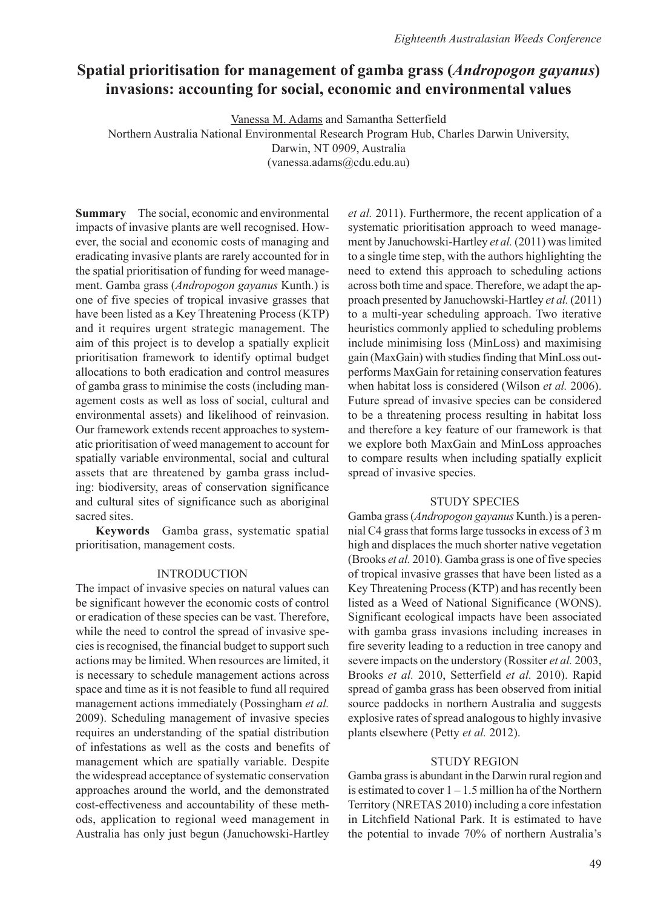# **Spatial prioritisation for management of gamba grass (***Andropogon gayanus***) invasions: accounting for social, economic and environmental values**

Vanessa M. Adams and Samantha Setterfield

Northern Australia National Environmental Research Program Hub, Charles Darwin University,

Darwin, NT 0909, Australia

(vanessa.adams@cdu.edu.au)

**Summary** The social, economic and environmental impacts of invasive plants are well recognised. However, the social and economic costs of managing and eradicating invasive plants are rarely accounted for in the spatial prioritisation of funding for weed management. Gamba grass (*Andropogon gayanus* Kunth.) is one of five species of tropical invasive grasses that have been listed as a Key Threatening Process (KTP) and it requires urgent strategic management. The aim of this project is to develop a spatially explicit prioritisation framework to identify optimal budget allocations to both eradication and control measures of gamba grass to minimise the costs (including management costs as well as loss of social, cultural and environmental assets) and likelihood of reinvasion. Our framework extends recent approaches to systematic prioritisation of weed management to account for spatially variable environmental, social and cultural assets that are threatened by gamba grass including: biodiversity, areas of conservation significance and cultural sites of significance such as aboriginal sacred sites.

**Keywords** Gamba grass, systematic spatial prioritisation, management costs.

## INTRODUCTION

The impact of invasive species on natural values can be significant however the economic costs of control or eradication of these species can be vast. Therefore, while the need to control the spread of invasive species is recognised, the financial budget to support such actions may be limited. When resources are limited, it is necessary to schedule management actions across space and time as it is not feasible to fund all required management actions immediately (Possingham *et al.* 2009). Scheduling management of invasive species requires an understanding of the spatial distribution of infestations as well as the costs and benefits of management which are spatially variable. Despite the widespread acceptance of systematic conservation approaches around the world, and the demonstrated cost-effectiveness and accountability of these methods, application to regional weed management in Australia has only just begun (Januchowski-Hartley

*et al.* 2011). Furthermore, the recent application of a systematic prioritisation approach to weed management by Januchowski-Hartley *et al.* (2011) was limited to a single time step, with the authors highlighting the need to extend this approach to scheduling actions across both time and space. Therefore, we adapt the approach presented by Januchowski-Hartley *et al.* (2011) to a multi-year scheduling approach. Two iterative heuristics commonly applied to scheduling problems include minimising loss (MinLoss) and maximising gain (MaxGain) with studies finding that MinLoss outperforms MaxGain for retaining conservation features when habitat loss is considered (Wilson *et al.* 2006). Future spread of invasive species can be considered to be a threatening process resulting in habitat loss and therefore a key feature of our framework is that we explore both MaxGain and MinLoss approaches to compare results when including spatially explicit spread of invasive species.

## STUDY SPECIES

Gamba grass (*Andropogon gayanus* Kunth.) is a perennial C4 grass that forms large tussocks in excess of 3 m high and displaces the much shorter native vegetation (Brooks *et al.* 2010). Gamba grass is one of five species of tropical invasive grasses that have been listed as a Key Threatening Process (KTP) and has recently been listed as a Weed of National Significance (WONS). Significant ecological impacts have been associated with gamba grass invasions including increases in fire severity leading to a reduction in tree canopy and severe impacts on the understory (Rossiter *et al.* 2003, Brooks *et al.* 2010, Setterfield *et al.* 2010). Rapid spread of gamba grass has been observed from initial source paddocks in northern Australia and suggests explosive rates of spread analogous to highly invasive plants elsewhere (Petty *et al.* 2012).

## STUDY REGION

Gamba grass is abundant in the Darwin rural region and is estimated to cover  $1 - 1.5$  million ha of the Northern Territory (NRETAS 2010) including a core infestation in Litchfield National Park. It is estimated to have the potential to invade 70% of northern Australia's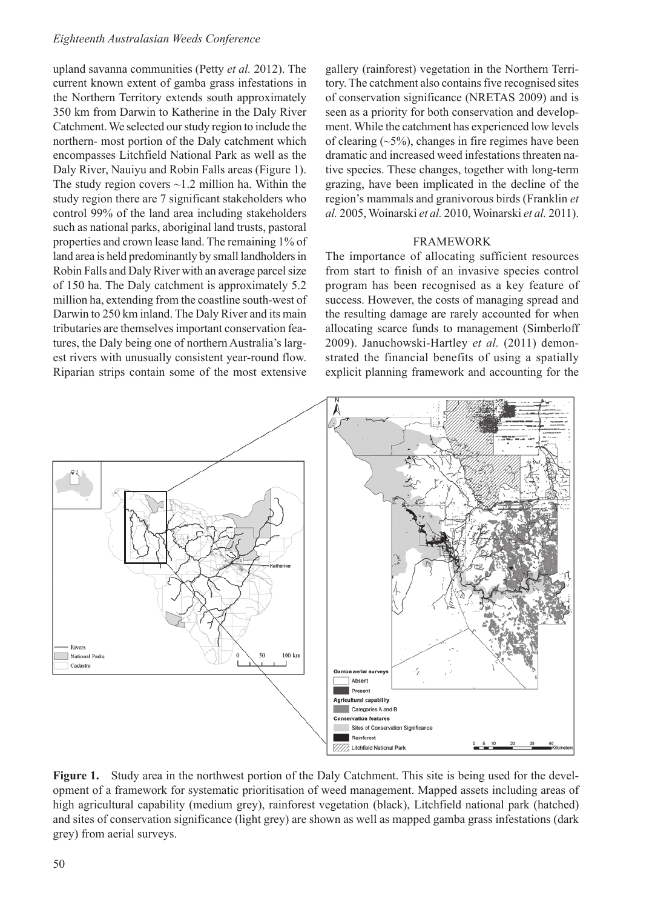### *Eighteenth Australasian Weeds Conference*

upland savanna communities (Petty *et al.* 2012). The current known extent of gamba grass infestations in the Northern Territory extends south approximately 350 km from Darwin to Katherine in the Daly River Catchment. We selected our study region to include the northern- most portion of the Daly catchment which encompasses Litchfield National Park as well as the Daly River, Nauiyu and Robin Falls areas (Figure 1). The study region covers  $\sim$ 1.2 million ha. Within the study region there are 7 significant stakeholders who control 99% of the land area including stakeholders such as national parks, aboriginal land trusts, pastoral properties and crown lease land. The remaining 1% of land area is held predominantly by small landholders in Robin Falls and Daly River with an average parcel size of 150 ha. The Daly catchment is approximately 5.2 million ha, extending from the coastline south-west of Darwin to 250 km inland. The Daly River and its main tributaries are themselves important conservation features, the Daly being one of northern Australia's largest rivers with unusually consistent year-round flow. Riparian strips contain some of the most extensive

gallery (rainforest) vegetation in the Northern Territory. The catchment also contains five recognised sites of conservation significance (NRETAS 2009) and is seen as a priority for both conservation and development. While the catchment has experienced low levels of clearing  $(\sim 5\%)$ , changes in fire regimes have been dramatic and increased weed infestations threaten native species. These changes, together with long-term grazing, have been implicated in the decline of the region's mammals and granivorous birds (Franklin *et al.* 2005, Woinarski *et al.* 2010, Woinarski *et al.* 2011).

#### FRAMEWORK

The importance of allocating sufficient resources from start to finish of an invasive species control program has been recognised as a key feature of success. However, the costs of managing spread and the resulting damage are rarely accounted for when allocating scarce funds to management (Simberloff 2009). Januchowski-Hartley *et al.* (2011) demonstrated the financial benefits of using a spatially explicit planning framework and accounting for the



**Figure 1.** Study area in the northwest portion of the Daly Catchment. This site is being used for the development of a framework for systematic prioritisation of weed management. Mapped assets including areas of high agricultural capability (medium grey), rainforest vegetation (black), Litchfield national park (hatched) and sites of conservation significance (light grey) are shown as well as mapped gamba grass infestations (dark grey) from aerial surveys.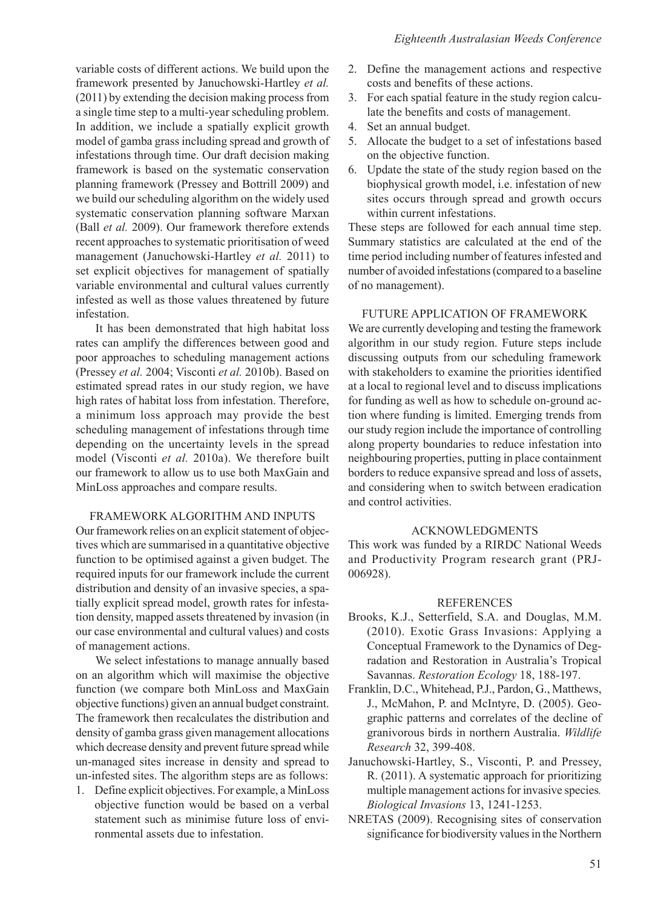variable costs of different actions. We build upon the framework presented by Januchowski-Hartley *et al.* (2011) by extending the decision making process from a single time step to a multi-year scheduling problem. In addition, we include a spatially explicit growth model of gamba grass including spread and growth of infestations through time. Our draft decision making framework is based on the systematic conservation planning framework (Pressey and Bottrill 2009) and we build our scheduling algorithm on the widely used systematic conservation planning software Marxan (Ball *et al.* 2009). Our framework therefore extends recent approaches to systematic prioritisation of weed management (Januchowski-Hartley *et al.* 2011) to set explicit objectives for management of spatially variable environmental and cultural values currently infested as well as those values threatened by future infestation.

It has been demonstrated that high habitat loss rates can amplify the differences between good and poor approaches to scheduling management actions (Pressey *et al.* 2004; Visconti *et al.* 2010b). Based on estimated spread rates in our study region, we have high rates of habitat loss from infestation. Therefore, a minimum loss approach may provide the best scheduling management of infestations through time depending on the uncertainty levels in the spread model (Visconti *et al.* 2010a). We therefore built our framework to allow us to use both MaxGain and MinLoss approaches and compare results.

## FRAMEWORK ALGORITHM AND INPUTS

Our framework relies on an explicit statement of objectives which are summarised in a quantitative objective function to be optimised against a given budget. The required inputs for our framework include the current distribution and density of an invasive species, a spatially explicit spread model, growth rates for infestation density, mapped assets threatened by invasion (in our case environmental and cultural values) and costs of management actions.

We select infestations to manage annually based on an algorithm which will maximise the objective function (we compare both MinLoss and MaxGain objective functions) given an annual budget constraint. The framework then recalculates the distribution and density of gamba grass given management allocations which decrease density and prevent future spread while un-managed sites increase in density and spread to un-infested sites. The algorithm steps are as follows:

1. Define explicit objectives. For example, a MinLoss objective function would be based on a verbal statement such as minimise future loss of environmental assets due to infestation.

- 2. Define the management actions and respective costs and benefits of these actions.
- 3. For each spatial feature in the study region calculate the benefits and costs of management.
- 4. Set an annual budget.
- 5. Allocate the budget to a set of infestations based on the objective function.
- 6. Update the state of the study region based on the biophysical growth model, i.e. infestation of new sites occurs through spread and growth occurs within current infestations.

These steps are followed for each annual time step. Summary statistics are calculated at the end of the time period including number of features infested and number of avoided infestations (compared to a baseline of no management).

## FUTURE APPLICATION OF FRAMEWORK

We are currently developing and testing the framework algorithm in our study region. Future steps include discussing outputs from our scheduling framework with stakeholders to examine the priorities identified at a local to regional level and to discuss implications for funding as well as how to schedule on-ground action where funding is limited. Emerging trends from our study region include the importance of controlling along property boundaries to reduce infestation into neighbouring properties, putting in place containment borders to reduce expansive spread and loss of assets, and considering when to switch between eradication and control activities.

#### ACKNOWLEDGMENTS

This work was funded by a RIRDC National Weeds and Productivity Program research grant (PRJ-006928).

#### REFERENCES

- Brooks, K.J., Setterfield, S.A. and Douglas, M.M. (2010). Exotic Grass Invasions: Applying a Conceptual Framework to the Dynamics of Degradation and Restoration in Australia's Tropical Savannas. *Restoration Ecology* 18, 188-197.
- Franklin, D.C., Whitehead, P.J., Pardon, G., Matthews, J., McMahon, P. and McIntyre, D. (2005). Geographic patterns and correlates of the decline of granivorous birds in northern Australia. *Wildlife Research* 32, 399-408.
- Januchowski-Hartley, S., Visconti, P. and Pressey, R. (2011). A systematic approach for prioritizing multiple management actions for invasive species*. Biological Invasions* 13, 1241-1253.
- NRETAS (2009). Recognising sites of conservation significance for biodiversity values in the Northern